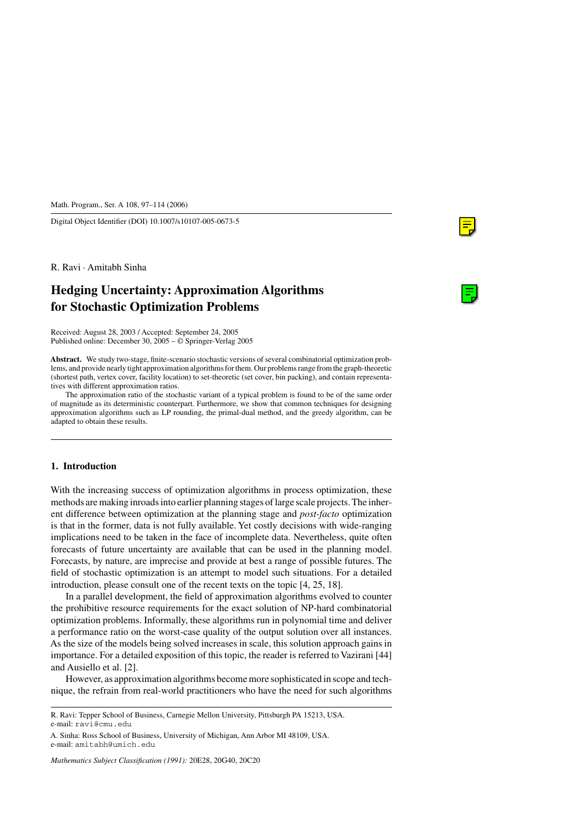Digital Object Identifier (DOI) 10.1007/s10107-005-0673-5

#### R. Ravi · Amitabh Sinha

# **Hedging Uncertainty: Approximation Algorithms for Stochastic Optimization Problems**

Received: August 28, 2003 / Accepted: September 24, 2005 Published online: December 30, 2005 – © Springer-Verlag 2005

**Abstract.** We study two-stage, finite-scenario stochastic versions of several combinatorial optimization problems, and provide nearly tight approximation algorithms for them. Our problems range from the graph-theoretic (shortest path, vertex cover, facility location) to set-theoretic (set cover, bin packing), and contain representatives with different approximation ratios.

The approximation ratio of the stochastic variant of a typical problem is found to be of the same order of magnitude as its deterministic counterpart. Furthermore, we show that common techniques for designing approximation algorithms such as LP rounding, the primal-dual method, and the greedy algorithm, can be adapted to obtain these results.

# **1. Introduction**

With the increasing success of optimization algorithms in process optimization, these methods are making inroads into earlier planning stages of large scale projects. The inherent difference between optimization at the planning stage and *post-facto* optimization is that in the former, data is not fully available. Yet costly decisions with wide-ranging implications need to be taken in the face of incomplete data. Nevertheless, quite often forecasts of future uncertainty are available that can be used in the planning model. Forecasts, by nature, are imprecise and provide at best a range of possible futures. The field of stochastic optimization is an attempt to model such situations. For a detailed introduction, please consult one of the recent texts on the topic [4, 25, 18].

In a parallel development, the field of approximation algorithms evolved to counter the prohibitive resource requirements for the exact solution of NP-hard combinatorial optimization problems. Informally, these algorithms run in polynomial time and deliver a performance ratio on the worst-case quality of the output solution over all instances. As the size of the models being solved increases in scale, this solution approach gains in importance. For a detailed exposition of this topic, the reader is referred to Vazirani [44] and Ausiello et al. [2].

However, as approximation algorithms become more sophisticated in scope and technique, the refrain from real-world practitioners who have the need for such algorithms

*Mathematics Subject Classification (1991):* 20E28, 20G40, 20C20

R. Ravi: Tepper School of Business, Carnegie Mellon University, Pittsburgh PA 15213, USA. e-mail: ravi@cmu.edu

A. Sinha: Ross School of Business, University of Michigan, Ann Arbor MI 48109, USA. e-mail: amitabh@umich.edu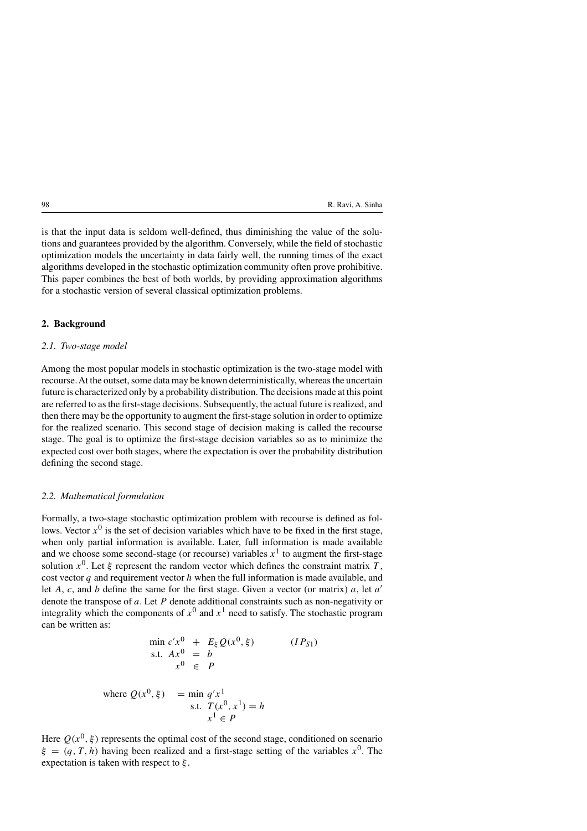is that the input data is seldom well-defined, thus diminishing the value of the solutions and guarantees provided by the algorithm. Conversely, while the field of stochastic optimization models the uncertainty in data fairly well, the running times of the exact algorithms developed in the stochastic optimization community often prove prohibitive. This paper combines the best of both worlds, by providing approximation algorithms for a stochastic version of several classical optimization problems.

## **2. Background**

#### *2.1. Two-stage model*

Among the most popular models in stochastic optimization is the two-stage model with recourse.At the outset, some data may be known deterministically, whereas the uncertain future is characterized only by a probability distribution. The decisions made at this point are referred to as the first-stage decisions. Subsequently, the actual future is realized, and then there may be the opportunity to augment the first-stage solution in order to optimize for the realized scenario. This second stage of decision making is called the recourse stage. The goal is to optimize the first-stage decision variables so as to minimize the expected cost over both stages, where the expectation is over the probability distribution defining the second stage.

#### *2.2. Mathematical formulation*

Formally, a two-stage stochastic optimization problem with recourse is defined as follows. Vector  $x^0$  is the set of decision variables which have to be fixed in the first stage, when only partial information is available. Later, full information is made available and we choose some second-stage (or recourse) variables  $x<sup>1</sup>$  to augment the first-stage solution  $x^0$ . Let  $\xi$  represent the random vector which defines the constraint matrix T, cost vector  $q$  and requirement vector  $h$  when the full information is made available, and let A, c, and b define the same for the first stage. Given a vector (or matrix)  $a$ , let  $a'$ denote the transpose of a. Let P denote additional constraints such as non-negativity or integrality which the components of  $x^0$  and  $x^1$  need to satisfy. The stochastic program can be written as:

$$
\min_{\mathbf{c}} c' \mathbf{x}^0 + E_{\xi} Q(\mathbf{x}^0, \xi) \qquad (IP_{S1})
$$
\n
$$
\text{s.t. } A\mathbf{x}^0 = b
$$
\n
$$
\mathbf{x}^0 \in P
$$
\n
$$
\text{where } Q(\mathbf{x}^0, \xi) = \min_{\mathbf{c}} q' \mathbf{x}^1
$$
\n
$$
\text{s.t. } T(\mathbf{x}^0, \mathbf{x}^1) = h
$$
\n
$$
\mathbf{x}^1 \in P
$$

Here  $Q(x^0, \xi)$  represents the optimal cost of the second stage, conditioned on scenario  $\xi = (q, T, h)$  having been realized and a first-stage setting of the variables  $x^0$ . The expectation is taken with respect to  $\xi$ .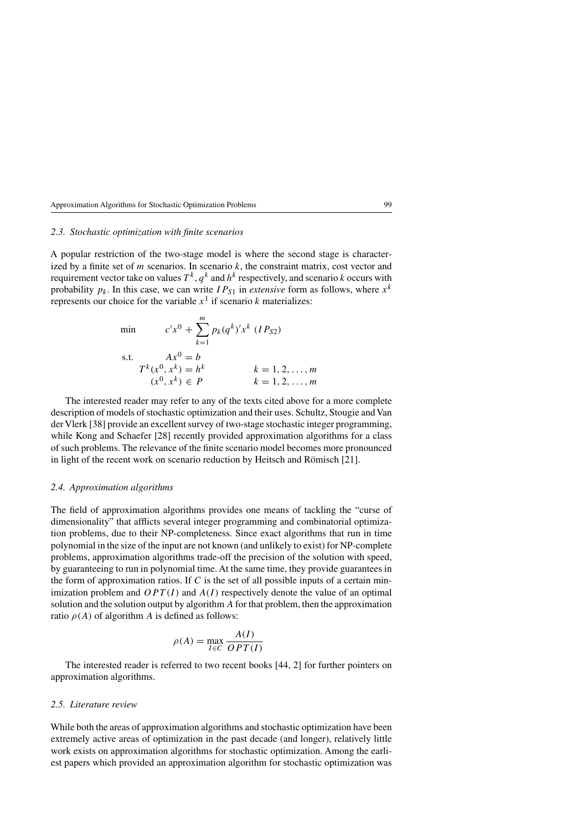#### *2.3. Stochastic optimization with finite scenarios*

A popular restriction of the two-stage model is where the second stage is characterized by a finite set of  $m$  scenarios. In scenario  $k$ , the constraint matrix, cost vector and requirement vector take on values  $T^k$ ,  $q^k$  and  $h^k$  respectively, and scenario k occurs with probability  $p_k$ . In this case, we can write  $IP_{S1}$  in *extensive* form as follows, where  $x^k$ represents our choice for the variable  $x<sup>1</sup>$  if scenario k materializes:

min 
$$
c'x^0 + \sum_{k=1}^m p_k (q^k)'x^k
$$
 (IPs2)  
s.t.  $Ax^0 = b$   
 $T^k(x^0, x^k) = h^k$   $k = 1, 2, ..., m$   
 $(x^0, x^k) \in P$   $k = 1, 2, ..., m$ 

The interested reader may refer to any of the texts cited above for a more complete description of models of stochastic optimization and their uses. Schultz, Stougie and Van der Vlerk [38] provide an excellent survey of two-stage stochastic integer programming, while Kong and Schaefer [28] recently provided approximation algorithms for a class of such problems. The relevance of the finite scenario model becomes more pronounced in light of the recent work on scenario reduction by Heitsch and Römisch [21].

#### *2.4. Approximation algorithms*

The field of approximation algorithms provides one means of tackling the "curse of dimensionality" that afflicts several integer programming and combinatorial optimization problems, due to their NP-completeness. Since exact algorithms that run in time polynomial in the size of the input are not known (and unlikely to exist) for NP-complete problems, approximation algorithms trade-off the precision of the solution with speed, by guaranteeing to run in polynomial time. At the same time, they provide guarantees in the form of approximation ratios. If  $C$  is the set of all possible inputs of a certain minimization problem and  $OPT(I)$  and  $A(I)$  respectively denote the value of an optimal solution and the solution output by algorithm A for that problem, then the approximation ratio  $\rho(A)$  of algorithm A is defined as follows:

$$
\rho(A) = \max_{I \in C} \frac{A(I)}{OPT(I)}
$$

The interested reader is referred to two recent books [44, 2] for further pointers on approximation algorithms.

# *2.5. Literature review*

While both the areas of approximation algorithms and stochastic optimization have been extremely active areas of optimization in the past decade (and longer), relatively little work exists on approximation algorithms for stochastic optimization. Among the earliest papers which provided an approximation algorithm for stochastic optimization was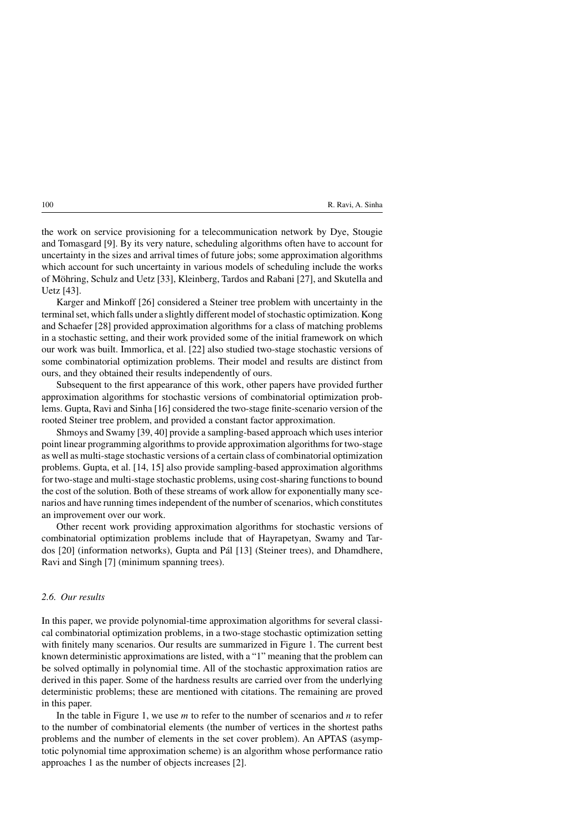the work on service provisioning for a telecommunication network by Dye, Stougie and Tomasgard [9]. By its very nature, scheduling algorithms often have to account for uncertainty in the sizes and arrival times of future jobs; some approximation algorithms which account for such uncertainty in various models of scheduling include the works of M¨ohring, Schulz and Uetz [33], Kleinberg, Tardos and Rabani [27], and Skutella and Uetz [43].

Karger and Minkoff [26] considered a Steiner tree problem with uncertainty in the terminal set, which falls under a slightly different model of stochastic optimization. Kong and Schaefer [28] provided approximation algorithms for a class of matching problems in a stochastic setting, and their work provided some of the initial framework on which our work was built. Immorlica, et al. [22] also studied two-stage stochastic versions of some combinatorial optimization problems. Their model and results are distinct from ours, and they obtained their results independently of ours.

Subsequent to the first appearance of this work, other papers have provided further approximation algorithms for stochastic versions of combinatorial optimization problems. Gupta, Ravi and Sinha [16] considered the two-stage finite-scenario version of the rooted Steiner tree problem, and provided a constant factor approximation.

Shmoys and Swamy [39, 40] provide a sampling-based approach which uses interior point linear programming algorithms to provide approximation algorithms for two-stage as well as multi-stage stochastic versions of a certain class of combinatorial optimization problems. Gupta, et al. [14, 15] also provide sampling-based approximation algorithms for two-stage and multi-stage stochastic problems, using cost-sharing functions to bound the cost of the solution. Both of these streams of work allow for exponentially many scenarios and have running times independent of the number of scenarios, which constitutes an improvement over our work.

Other recent work providing approximation algorithms for stochastic versions of combinatorial optimization problems include that of Hayrapetyan, Swamy and Tardos [20] (information networks), Gupta and Pál [13] (Steiner trees), and Dhamdhere, Ravi and Singh [7] (minimum spanning trees).

# *2.6. Our results*

In this paper, we provide polynomial-time approximation algorithms for several classical combinatorial optimization problems, in a two-stage stochastic optimization setting with finitely many scenarios. Our results are summarized in Figure 1. The current best known deterministic approximations are listed, with a "1" meaning that the problem can be solved optimally in polynomial time. All of the stochastic approximation ratios are derived in this paper. Some of the hardness results are carried over from the underlying deterministic problems; these are mentioned with citations. The remaining are proved in this paper.

In the table in Figure 1, we use  $m$  to refer to the number of scenarios and  $n$  to refer to the number of combinatorial elements (the number of vertices in the shortest paths problems and the number of elements in the set cover problem). An APTAS (asymptotic polynomial time approximation scheme) is an algorithm whose performance ratio approaches 1 as the number of objects increases [2].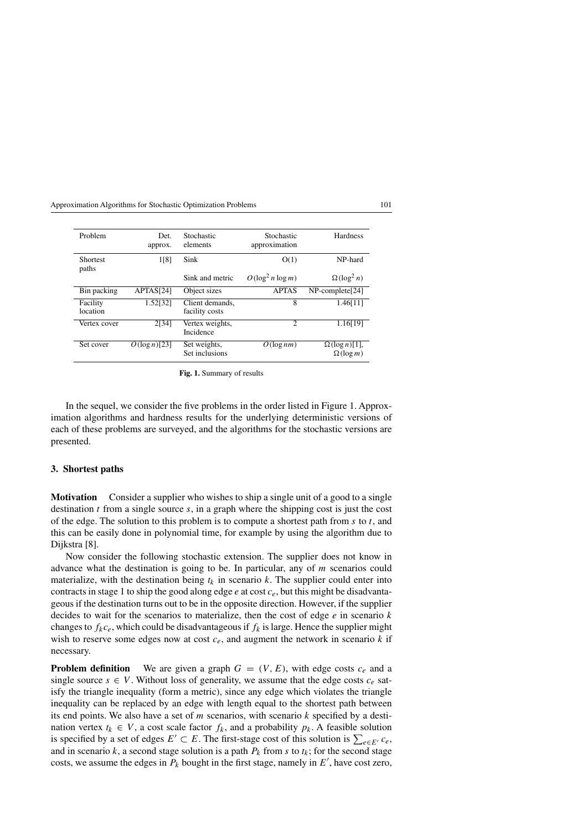| Problem                  | Det.<br>approx.       | Stochastic<br>elements            | Stochastic<br>approximation | Hardness                                 |
|--------------------------|-----------------------|-----------------------------------|-----------------------------|------------------------------------------|
| <b>Shortest</b><br>paths | 1[8]                  | Sink                              | O(1)                        | NP-hard                                  |
|                          |                       | Sink and metric                   | $O(\log^2 n \log m)$        | $\Omega(\log^2 n)$                       |
| Bin packing              | APTAS <sup>[24]</sup> | Object sizes                      | <b>APTAS</b>                | $NP$ -complete $[24]$                    |
| Facility<br>location     | 1.52[32]              | Client demands.<br>facility costs | 8                           | 1.46[11]                                 |
| Vertex cover             | 2[34]                 | Vertex weights,<br>Incidence      | $\overline{c}$              | 1.16[19]                                 |
| Set cover                | $O(\log n)[23]$       | Set weights,<br>Set inclusions    | $O(\log nm)$                | $\Omega(\log n)[1],$<br>$\Omega(\log m)$ |

**Fig. 1.** Summary of results

In the sequel, we consider the five problems in the order listed in Figure 1. Approximation algorithms and hardness results for the underlying deterministic versions of each of these problems are surveyed, and the algorithms for the stochastic versions are presented.

## **3. Shortest paths**

**Motivation** Consider a supplier who wishes to ship a single unit of a good to a single destination  $t$  from a single source  $s$ , in a graph where the shipping cost is just the cost of the edge. The solution to this problem is to compute a shortest path from s to t, and this can be easily done in polynomial time, for example by using the algorithm due to Dijkstra [8].

Now consider the following stochastic extension. The supplier does not know in advance what the destination is going to be. In particular, any of  $m$  scenarios could materialize, with the destination being  $t_k$  in scenario k. The supplier could enter into contracts in stage 1 to ship the good along edge  $e$  at cost  $c_e$ , but this might be disadvantageous if the destination turns out to be in the opposite direction. However, if the supplier decides to wait for the scenarios to materialize, then the cost of edge  $e$  in scenario  $k$ changes to  $f_k c_e$ , which could be disadvantageous if  $f_k$  is large. Hence the supplier might wish to reserve some edges now at cost  $c_e$ , and augment the network in scenario k if necessary.

**Problem definition** We are given a graph  $G = (V, E)$ , with edge costs  $c_e$  and a single source  $s \in V$ . Without loss of generality, we assume that the edge costs  $c_e$  satisfy the triangle inequality (form a metric), since any edge which violates the triangle inequality can be replaced by an edge with length equal to the shortest path between its end points. We also have a set of  $m$  scenarios, with scenario  $k$  specified by a destination vertex  $t_k \in V$ , a cost scale factor  $f_k$ , and a probability  $p_k$ . A feasible solution is specified by a set of edges  $E' \subset E$ . The first-stage cost of this solution is  $\sum_{e \in E'} c_e$ , and in scenario k, a second stage solution is a path  $P_k$  from s to  $t_k$ ; for the second stage costs, we assume the edges in  $P_k$  bought in the first stage, namely in E', have cost zero,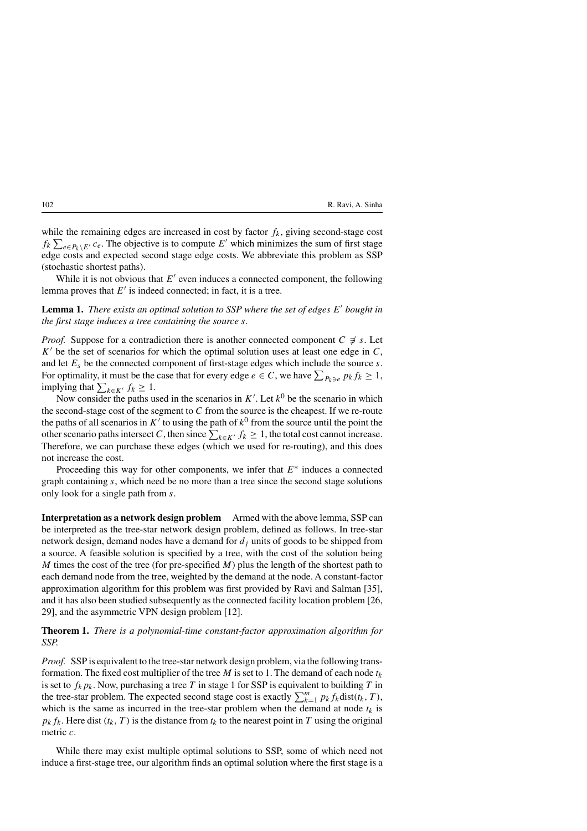while the remaining edges are increased in cost by factor  $f_k$ , giving second-stage cost  $f_k \sum_{e \in P_k \setminus E'} c_e$ . The objective is to compute E' which minimizes the sum of first stage edge costs and expected second stage edge costs. We abbreviate this problem as SSP (stochastic shortest paths).

While it is not obvious that  $E'$  even induces a connected component, the following lemma proves that  $E'$  is indeed connected; in fact, it is a tree.

**Lemma 1.** *There exists an optimal solution to SSP where the set of edges E' bought in the first stage induces a tree containing the source* s*.*

*Proof.* Suppose for a contradiction there is another connected component  $C \neq s$ . Let  $K'$  be the set of scenarios for which the optimal solution uses at least one edge in C, and let  $E_s$  be the connected component of first-stage edges which include the source s. For optimality, it must be the case that for every edge  $e \in C$ , we have  $\sum_{P_k \ni e} p_k f_k \geq 1$ , implying that  $\sum_{k \in K'} f_k \geq 1$ .

Now consider the paths used in the scenarios in  $K'$ . Let  $k^0$  be the scenario in which the second-stage cost of the segment to  $C$  from the source is the cheapest. If we re-route the paths of all scenarios in  $K'$  to using the path of  $k^0$  from the source until the point the other scenario paths intersect C, then since  $\sum_{k \in K'} f_k \geq 1$ , the total cost cannot increase. Therefore, we can purchase these edges (which we used for re-routing), and this does not increase the cost.

Proceeding this way for other components, we infer that  $E^*$  induces a connected graph containing s, which need be no more than a tree since the second stage solutions only look for a single path from s.

**Interpretation as a network design problem** Armed with the above lemma, SSP can be interpreted as the tree-star network design problem, defined as follows. In tree-star network design, demand nodes have a demand for  $d_i$  units of goods to be shipped from a source. A feasible solution is specified by a tree, with the cost of the solution being M times the cost of the tree (for pre-specified  $M$ ) plus the length of the shortest path to each demand node from the tree, weighted by the demand at the node. A constant-factor approximation algorithm for this problem was first provided by Ravi and Salman [35], and it has also been studied subsequently as the connected facility location problem [26, 29], and the asymmetric VPN design problem [12].

**Theorem 1.** *There is a polynomial-time constant-factor approximation algorithm for SSP.*

*Proof.* SSP is equivalent to the tree-star network design problem, via the following transformation. The fixed cost multiplier of the tree M is set to 1. The demand of each node  $t_k$ is set to  $f_k p_k$ . Now, purchasing a tree T in stage 1 for SSP is equivalent to building T in the tree-star problem. The expected second stage cost is exactly  $\sum_{k=1}^{m} p_k f_k \text{dist}(t_k, T)$ , which is the same as incurred in the tree-star problem when the demand at node  $t_k$  is  $p_k f_k$ . Here dist  $(t_k, T)$  is the distance from  $t_k$  to the nearest point in T using the original metric c.

While there may exist multiple optimal solutions to SSP, some of which need not induce a first-stage tree, our algorithm finds an optimal solution where the first stage is a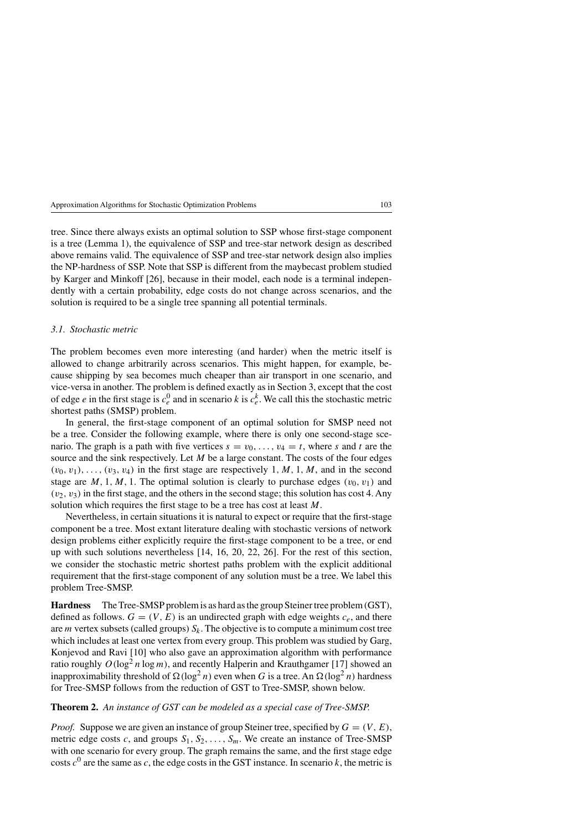tree. Since there always exists an optimal solution to SSP whose first-stage component is a tree (Lemma 1), the equivalence of SSP and tree-star network design as described above remains valid. The equivalence of SSP and tree-star network design also implies the NP-hardness of SSP. Note that SSP is different from the maybecast problem studied by Karger and Minkoff [26], because in their model, each node is a terminal independently with a certain probability, edge costs do not change across scenarios, and the solution is required to be a single tree spanning all potential terminals.

#### *3.1. Stochastic metric*

The problem becomes even more interesting (and harder) when the metric itself is allowed to change arbitrarily across scenarios. This might happen, for example, because shipping by sea becomes much cheaper than air transport in one scenario, and vice-versa in another. The problem is defined exactly as in Section 3, except that the cost of edge *e* in the first stage is  $c_e^0$  and in scenario *k* is  $c_e^k$ . We call this the stochastic metric shortest paths (SMSP) problem.

In general, the first-stage component of an optimal solution for SMSP need not be a tree. Consider the following example, where there is only one second-stage scenario. The graph is a path with five vertices  $s = v_0, \ldots, v_4 = t$ , where s and t are the source and the sink respectively. Let  $M$  be a large constant. The costs of the four edges  $(v_0, v_1), \ldots, (v_3, v_4)$  in the first stage are respectively 1, M, 1, M, and in the second stage are  $M$ , 1,  $M$ , 1. The optimal solution is clearly to purchase edges  $(v_0, v_1)$  and  $(v_2, v_3)$  in the first stage, and the others in the second stage; this solution has cost 4. Any solution which requires the first stage to be a tree has cost at least M.

Nevertheless, in certain situations it is natural to expect or require that the first-stage component be a tree. Most extant literature dealing with stochastic versions of network design problems either explicitly require the first-stage component to be a tree, or end up with such solutions nevertheless [14, 16, 20, 22, 26]. For the rest of this section, we consider the stochastic metric shortest paths problem with the explicit additional requirement that the first-stage component of any solution must be a tree. We label this problem Tree-SMSP.

**Hardness** The Tree-SMSP problem is as hard as the group Steiner tree problem (GST), defined as follows.  $G = (V, E)$  is an undirected graph with edge weights  $c_e$ , and there are *m* vertex subsets (called groups)  $S_k$ . The objective is to compute a minimum cost tree which includes at least one vertex from every group. This problem was studied by Garg, Konjevod and Ravi [10] who also gave an approximation algorithm with performance ratio roughly  $O(\log^2 n \log m)$ , and recently Halperin and Krauthgamer [17] showed an inapproximability threshold of  $\Omega(\log^2 n)$  even when G is a tree. An  $\Omega(\log^2 n)$  hardness for Tree-SMSP follows from the reduction of GST to Tree-SMSP, shown below.

## **Theorem 2.** *An instance of GST can be modeled as a special case of Tree-SMSP.*

*Proof.* Suppose we are given an instance of group Steiner tree, specified by  $G = (V, E)$ , metric edge costs c, and groups  $S_1, S_2, \ldots, S_m$ . We create an instance of Tree-SMSP with one scenario for every group. The graph remains the same, and the first stage edge costs  $c^0$  are the same as c, the edge costs in the GST instance. In scenario k, the metric is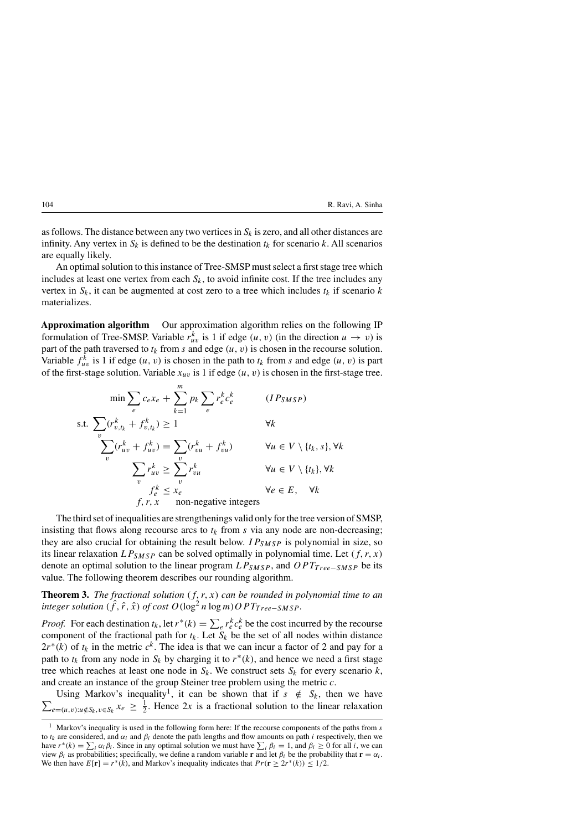as follows. The distance between any two vertices in  $S_k$  is zero, and all other distances are infinity. Any vertex in  $S_k$  is defined to be the destination  $t_k$  for scenario k. All scenarios are equally likely.

An optimal solution to this instance of Tree-SMSP must select a first stage tree which includes at least one vertex from each  $S_k$ , to avoid infinite cost. If the tree includes any vertex in  $S_k$ , it can be augmented at cost zero to a tree which includes  $t_k$  if scenario k materializes.

**Approximation algorithm** Our approximation algorithm relies on the following IP formulation of Tree-SMSP. Variable  $r_{uv}^k$  is 1 if edge  $(u, v)$  (in the direction  $u \to v$ ) is part of the path traversed to  $t_k$  from s and edge  $(u, v)$  is chosen in the recourse solution. Variable  $f_{uv}^k$  is 1 if edge  $(u, v)$  is chosen in the path to  $t_k$  from s and edge  $(u, v)$  is part of the first-stage solution. Variable  $x_{uv}$  is 1 if edge  $(u, v)$  is chosen in the first-stage tree.

min  $\sum$ e  $c_e x_e + \sum_{n=1}^{m}$  $k=1$  $p_k$   $\sum$ e  $r_e^k c_e^k$  $\left( IP_{SMSP} \right)$ s.t.  $\sum (r_{v,t_k}^k + f_{v}^k)$  $\sum_{n=1}^{\infty}$  $(v,t_k) \geq 1$   $\forall k$ v  $(r_{uv}^k + f_{uv}^k) = \sum$ v  $(r_{vu}^k + f_{vi}^k)$  $v_u^{k}(v_u)$   $\forall u \in V \setminus \{t_k, s\}, \forall k$  $\sum$ v  $r^k_{uv} \geq \sum$ v  $r_v^k$  $\forall u \in V \setminus \{t_k\}, \forall k$  $f_e^k$  $e^k \leq x_e$   $\forall e \in E, \quad \forall k$  $f, r, x$  non-negative integers

The third set of inequalities are strengthenings valid only for the tree version of SMSP, insisting that flows along recourse arcs to  $t_k$  from s via any node are non-decreasing; they are also crucial for obtaining the result below.  $IP_{SMSP}$  is polynomial in size, so its linear relaxation  $LP_{SMSP}$  can be solved optimally in polynomial time. Let  $(f, r, x)$ denote an optimal solution to the linear program  $LP_{SMSP}$ , and  $OPT_{Tree-SMSP}$  be its value. The following theorem describes our rounding algorithm.

**Theorem 3.** *The fractional solution* (f, r, x) *can be rounded in polynomial time to an integer solution*  $(\hat{f}, \hat{r}, \hat{x})$  *of cost*  $O(\log^2 n \log m)$   $OPT_{Tree-SMSP}$ *.* 

*Proof.* For each destination  $t_k$ , let  $r^*(k) = \sum_e r_e^k c_e^k$  be the cost incurred by the recourse component of the fractional path for  $t_k$ . Let  $S_k$  be the set of all nodes within distance  $2r^*(k)$  of  $t_k$  in the metric  $c^k$ . The idea is that we can incur a factor of 2 and pay for a path to  $t_k$  from any node in  $S_k$  by charging it to  $r^*(k)$ , and hence we need a first stage tree which reaches at least one node in  $S_k$ . We construct sets  $S_k$  for every scenario k, and create an instance of the group Steiner tree problem using the metric c.

Using Markov's inequality<sup>1</sup>, it can be shown that if  $s \notin S_k$ , then we have  $\sum_{e=(u,v):u\notin S_k, v\in S_k} x_e \geq \frac{1}{2}$ . Hence 2x is a fractional solution to the linear relaxation

<sup>&</sup>lt;sup>1</sup> Markov's inequality is used in the following form here: If the recourse components of the paths from  $s$ to  $t_k$  are considered, and  $\alpha_i$  and  $\beta_i$  denote the path lengths and flow amounts on path i respectively, then we have  $r^*(k) = \sum_i \alpha_i \beta_i$ . Since in any optimal solution we must have  $\sum_i \beta_i = 1$ , and  $\beta_i \ge 0$  for all i, we can view  $\beta_i$  as probabilities; specifically, we define a random variable **r** and let  $\beta_i$  be the probability that **r** =  $\alpha_i$ . We then have  $E[\mathbf{r}] = r^*(k)$ , and Markov's inequality indicates that  $Pr(\mathbf{r} \geq 2r^*(k)) \leq 1/2$ .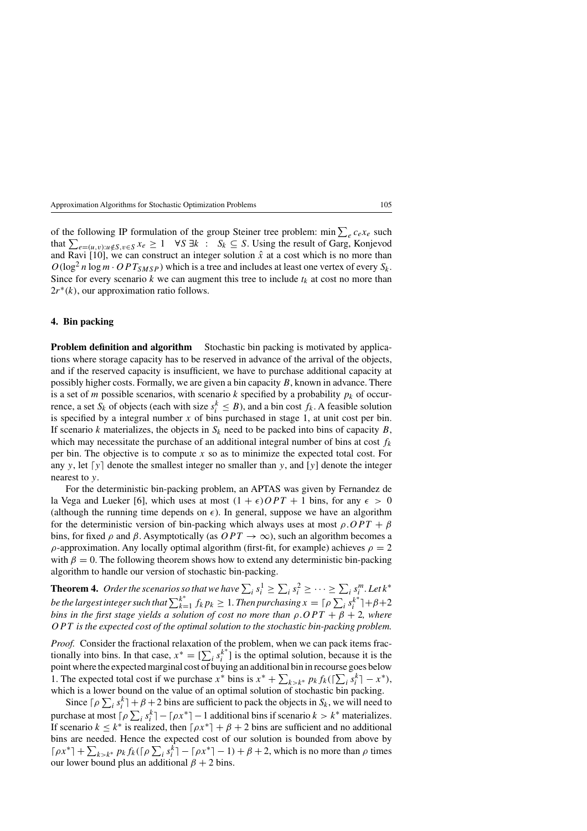of the following IP formulation of the group Steiner tree problem: min  $\sum_{e} c_e x_e$  such that  $\sum_{e=(u,v):u\notin S, v\in S} x_e \geq 1$   $\forall S \exists k : S_k \subseteq S$ . Using the result of Garg, Konjevod and Ravi [10], we can construct an integer solution  $\hat{x}$  at a cost which is no more than  $O(\log^2 n \log m \cdot OPT_{SMSP})$  which is a tree and includes at least one vertex of every  $S_k$ . Since for every scenario k we can augment this tree to include  $t_k$  at cost no more than  $2r^*(k)$ , our approximation ratio follows.

## **4. Bin packing**

**Problem definition and algorithm** Stochastic bin packing is motivated by applications where storage capacity has to be reserved in advance of the arrival of the objects, and if the reserved capacity is insufficient, we have to purchase additional capacity at possibly higher costs. Formally, we are given a bin capacity  $B$ , known in advance. There is a set of m possible scenarios, with scenario k specified by a probability  $p_k$  of occurrence, a set  $S_k$  of objects (each with size  $s_i^k \leq B$ ), and a bin cost  $f_k$ . A feasible solution is specified by a integral number  $x$  of bins purchased in stage 1, at unit cost per bin. If scenario k materializes, the objects in  $S_k$  need to be packed into bins of capacity B, which may necessitate the purchase of an additional integral number of bins at cost  $f_k$ per bin. The objective is to compute  $x$  so as to minimize the expected total cost. For any y, let  $[y]$  denote the smallest integer no smaller than y, and  $[y]$  denote the integer nearest to y.

For the deterministic bin-packing problem, an APTAS was given by Fernandez de la Vega and Lueker [6], which uses at most  $(1 + \epsilon)OPT + 1$  bins, for any  $\epsilon > 0$ (although the running time depends on  $\epsilon$ ). In general, suppose we have an algorithm for the deterministic version of bin-packing which always uses at most  $\rho$ . OPT +  $\beta$ bins, for fixed  $\rho$  and  $\beta$ . Asymptotically (as  $OPT \rightarrow \infty$ ), such an algorithm becomes a  $\rho$ -approximation. Any locally optimal algorithm (first-fit, for example) achieves  $\rho = 2$ with  $\beta = 0$ . The following theorem shows how to extend any deterministic bin-packing algorithm to handle our version of stochastic bin-packing.

**Theorem 4.** Order the scenarios so that we have  $\sum_i s_i^1 \ge \sum_i s_i^2 \ge \cdots \ge \sum_i s_i^m$ . Let  $k^*$ *be the largest integer such that*  $\sum_{k=1}^{k^*} f_k p_k \geq 1$ *. Then purchasing*  $x = \lceil \rho \sum_i s_i^{k^*} \rceil + \beta + 2$ *bins in the first stage yields a solution of cost no more than*  $\rho$ . $OPT + \beta + 2$ *, where* OPT *is the expected cost of the optimal solution to the stochastic bin-packing problem.*

*Proof.* Consider the fractional relaxation of the problem, when we can pack items fractionally into bins. In that case,  $x^* = [\sum_i s_i^{k^*}]$  is the optimal solution, because it is the point where the expected marginal cost of buying an additional bin in recourse goes below 1. The expected total cost if we purchase  $x^*$  bins is  $x^* + \sum_{k > k^*} p_k f_k (\lceil \sum_i s_i^k \rceil - x^*)$ , which is a lower bound on the value of an optimal solution of stochastic bin packing.

Since  $\lceil \rho \sum_i s_i^k \rceil + \beta + 2$  bins are sufficient to pack the objects in  $S_k$ , we will need to purchase at most  $\lceil \rho \sum_i s_i^k \rceil - \lceil \rho x^* \rceil - 1$  additional bins if scenario  $k > k^*$  materializes. If scenario  $k \leq k^*$  is realized, then  $\lceil \rho x^* \rceil + \beta + 2$  bins are sufficient and no additional bins are needed. Hence the expected cost of our solution is bounded from above by  $\lceil \rho x^* \rceil + \sum_{k > k^*} p_k f_k \left( \lceil \rho \sum_i s_i^k \rceil - \lceil \rho x^* \rceil - 1 \right) + \beta + 2$ , which is no more than  $\rho$  times our lower bound plus an additional  $\beta + 2$  bins.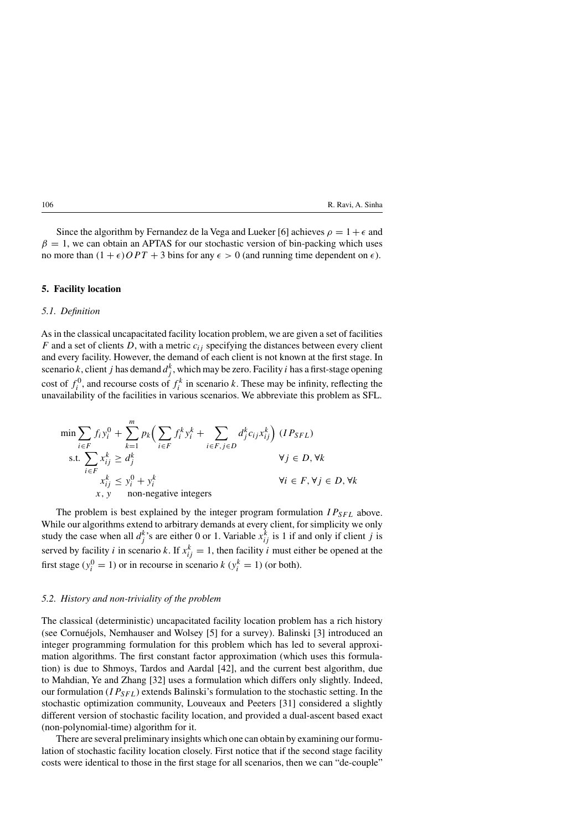Since the algorithm by Fernandez de la Vega and Lueker [6] achieves  $\rho = 1 + \epsilon$  and  $\beta = 1$ , we can obtain an APTAS for our stochastic version of bin-packing which uses no more than  $(1 + \epsilon)OPT + 3$  bins for any  $\epsilon > 0$  (and running time dependent on  $\epsilon$ ).

# **5. Facility location**

## *5.1. Definition*

As in the classical uncapacitated facility location problem, we are given a set of facilities F and a set of clients D, with a metric  $c_{ij}$  specifying the distances between every client and every facility. However, the demand of each client is not known at the first stage. In scenario k, client j has demand  $d_j^k$ , which may be zero. Facility i has a first-stage opening cost of  $f_i^0$ , and recourse costs of  $f_i^k$  in scenario k. These may be infinity, reflecting the unavailability of the facilities in various scenarios. We abbreviate this problem as SFL.

$$
\min \sum_{i \in F} f_i y_i^0 + \sum_{k=1}^m p_k \Big( \sum_{i \in F} f_i^k y_i^k + \sum_{i \in F, j \in D} d_j^k c_{ij} x_{ij}^k \Big) (IP_{SFL})
$$
\ns.t. 
$$
\sum_{i \in F} x_{ij}^k \ge d_j^k
$$
\n
$$
x_{ij}^k \le y_i^0 + y_i^k
$$
\n
$$
x, y \text{ non-negative integers}
$$
\n
$$
\forall j \in F, \forall j \in D, \forall k
$$
\n
$$
\forall i \in F, \forall j \in D, \forall k
$$

The problem is best explained by the integer program formulation  $IP_{SFL}$  above. While our algorithms extend to arbitrary demands at every client, for simplicity we only study the case when all  $d_j^k$ 's are either 0 or 1. Variable  $x_{ij}^k$  is 1 if and only if client j is served by facility *i* in scenario *k*. If  $x_{ij}^k = 1$ , then facility *i* must either be opened at the first stage  $(y_i^0 = 1)$  or in recourse in scenario  $k (y_i^k = 1)$  (or both).

#### *5.2. History and non-triviality of the problem*

The classical (deterministic) uncapacitated facility location problem has a rich history (see Cornuéjols, Nemhauser and Wolsey [5] for a survey). Balinski [3] introduced an integer programming formulation for this problem which has led to several approximation algorithms. The first constant factor approximation (which uses this formulation) is due to Shmoys, Tardos and Aardal [42], and the current best algorithm, due to Mahdian, Ye and Zhang [32] uses a formulation which differs only slightly. Indeed, our formulation ( $IP_{SFL}$ ) extends Balinski's formulation to the stochastic setting. In the stochastic optimization community, Louveaux and Peeters [31] considered a slightly different version of stochastic facility location, and provided a dual-ascent based exact (non-polynomial-time) algorithm for it.

There are several preliminary insights which one can obtain by examining our formulation of stochastic facility location closely. First notice that if the second stage facility costs were identical to those in the first stage for all scenarios, then we can "de-couple"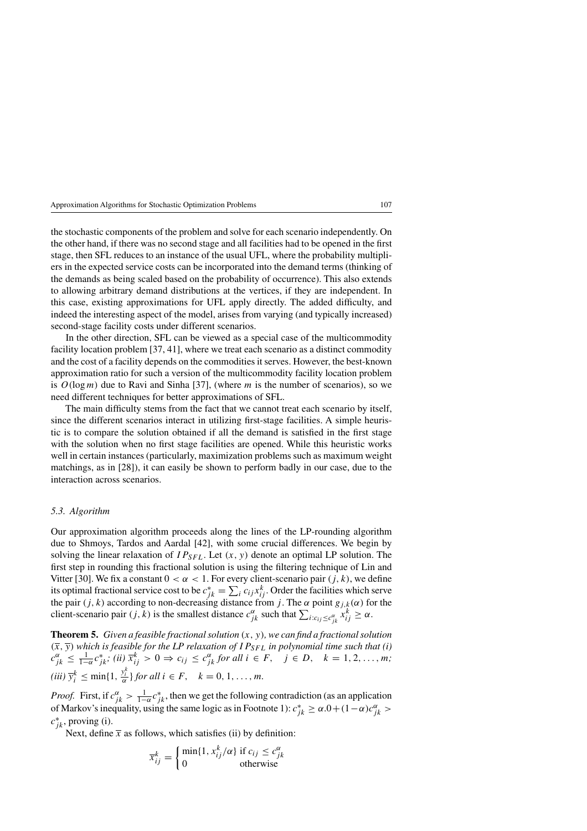the stochastic components of the problem and solve for each scenario independently. On the other hand, if there was no second stage and all facilities had to be opened in the first stage, then SFL reduces to an instance of the usual UFL, where the probability multipliers in the expected service costs can be incorporated into the demand terms (thinking of the demands as being scaled based on the probability of occurrence). This also extends to allowing arbitrary demand distributions at the vertices, if they are independent. In this case, existing approximations for UFL apply directly. The added difficulty, and indeed the interesting aspect of the model, arises from varying (and typically increased) second-stage facility costs under different scenarios.

In the other direction, SFL can be viewed as a special case of the multicommodity facility location problem [37, 41], where we treat each scenario as a distinct commodity and the cost of a facility depends on the commodities it serves. However, the best-known approximation ratio for such a version of the multicommodity facility location problem is  $O(log m)$  due to Ravi and Sinha [37], (where m is the number of scenarios), so we need different techniques for better approximations of SFL.

The main difficulty stems from the fact that we cannot treat each scenario by itself, since the different scenarios interact in utilizing first-stage facilities. A simple heuristic is to compare the solution obtained if all the demand is satisfied in the first stage with the solution when no first stage facilities are opened. While this heuristic works well in certain instances (particularly, maximization problems such as maximum weight matchings, as in [28]), it can easily be shown to perform badly in our case, due to the interaction across scenarios.

## *5.3. Algorithm*

Our approximation algorithm proceeds along the lines of the LP-rounding algorithm due to Shmoys, Tardos and Aardal [42], with some crucial differences. We begin by solving the linear relaxation of  $IP_{SFL}$ . Let  $(x, y)$  denote an optimal LP solution. The first step in rounding this fractional solution is using the filtering technique of Lin and Vitter [30]. We fix a constant  $0 < \alpha < 1$ . For every client-scenario pair  $(j, k)$ , we define its optimal fractional service cost to be  $c_{jk}^* = \sum_i c_{ij} x_{ij}^k$ . Order the facilities which serve the pair  $(j, k)$  according to non-decreasing distance from j. The  $\alpha$  point  $g_{j,k}(\alpha)$  for the client-scenario pair  $(j, k)$  is the smallest distance  $c_{jk}^{\alpha}$  such that  $\sum_{i:c_{ij}\leq c_{jk}^{\alpha}} x_{ij}^k \geq \alpha$ .

**Theorem 5.** *Given a feasible fractional solution* (x, y)*, we can find a fractional solution*  $(\overline{x}, \overline{y})$  *which is feasible for the LP relaxation of IP<sub>SFL</sub> in polynomial time such that (i)*  $c_{jk}^{\alpha} \le \frac{1}{1-\alpha} c_{jk}^*$ ; (ii)  $\overline{x}_{ij}^k > 0 \Rightarrow c_{ij} \le c_{jk}^{\alpha}$  for all  $i \in F$ ,  $j \in D$ ,  $k = 1, 2, ..., m$ ;  $(iii)$   $\overline{y}_i^k \le \min\{1, \frac{y_i^k}{\alpha}\}$  *for all*  $i \in F$ ,  $k = 0, 1, ..., m$ *.* 

*Proof.* First, if  $c_{jk}^{\alpha} > \frac{1}{1-\alpha} c_{jk}^{*}$ , then we get the following contradiction (as an application of Markov's inequality, using the same logic as in Footnote 1):  $c_{jk}^* \ge \alpha.0 + (1 - \alpha)c_{jk}^{\alpha} >$  $c_{jk}^*$ , proving (i).

Next, define  $\bar{x}$  as follows, which satisfies (ii) by definition:

$$
\overline{x}_{ij}^k = \begin{cases} \min\{1, x_{ij}^k/\alpha\} & \text{if } c_{ij} \le c_{jk}^\alpha\\ 0 & \text{otherwise} \end{cases}
$$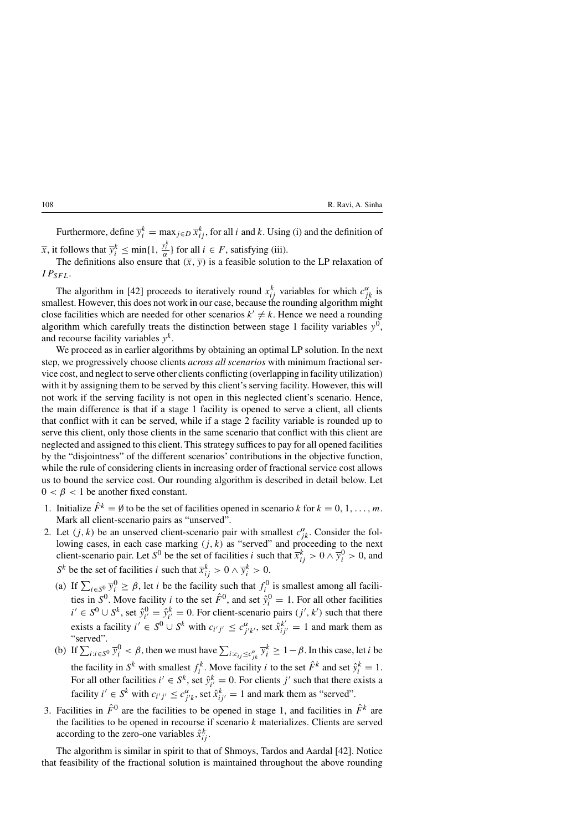Furthermore, define  $\overline{y}_i^k = \max_{j \in D} \overline{x}_{ij}^k$ , for all *i* and *k*. Using (i) and the definition of  $\overline{x}$ , it follows that  $\overline{y}_i^k \le \min\{1, \frac{y_i^k}{\alpha}\}\$  for all  $i \in F$ , satisfying (iii).

The definitions also ensure that  $(\overline{x}, \overline{y})$  is a feasible solution to the LP relaxation of  $IP_{SFL}$ .

The algorithm in [42] proceeds to iteratively round  $x_{ij}^k$  variables for which  $c_{jk}^{\alpha}$  is smallest. However, this does not work in our case, because the rounding algorithm might close facilities which are needed for other scenarios  $k' \neq k$ . Hence we need a rounding algorithm which carefully treats the distinction between stage 1 facility variables  $y<sup>0</sup>$ , and recourse facility variables  $y^k$ .

We proceed as in earlier algorithms by obtaining an optimal LP solution. In the next step, we progressively choose clients *across all scenarios* with minimum fractional service cost, and neglect to serve other clients conflicting (overlapping in facility utilization) with it by assigning them to be served by this client's serving facility. However, this will not work if the serving facility is not open in this neglected client's scenario. Hence, the main difference is that if a stage 1 facility is opened to serve a client, all clients that conflict with it can be served, while if a stage 2 facility variable is rounded up to serve this client, only those clients in the same scenario that conflict with this client are neglected and assigned to this client. This strategy suffices to pay for all opened facilities by the "disjointness" of the different scenarios' contributions in the objective function, while the rule of considering clients in increasing order of fractional service cost allows us to bound the service cost. Our rounding algorithm is described in detail below. Let  $0 < \beta < 1$  be another fixed constant.

- 1. Initialize  $\hat{F}^k = \emptyset$  to be the set of facilities opened in scenario k for  $k = 0, 1, \ldots, m$ . Mark all client-scenario pairs as "unserved".
- 2. Let  $(j, k)$  be an unserved client-scenario pair with smallest  $c_{jk}^{\alpha}$ . Consider the following cases, in each case marking  $(j, k)$  as "served" and proceeding to the next client-scenario pair. Let  $S^0$  be the set of facilities i such that  $\overline{x}_{ij}^k > 0 \wedge \overline{y}_i^0 > 0$ , and S<sup>k</sup> be the set of facilities i such that  $\overline{x}_{ij}^k > 0 \wedge \overline{y}_i^k > 0$ .
	- (a) If  $\sum_{i \in S^0} \bar{y}_i^0 \ge \beta$ , let *i* be the facility such that  $f_i^0$  is smallest among all facilities in  $S^0$ . Move facility *i* to the set  $\hat{F}^0$ , and set  $\hat{y}_i^0 = 1$ . For all other facilities  $i' \in S^0 \cup S^k$ , set  $\hat{y}_{i'}^0 = \hat{y}_{i'}^k = 0$ . For client-scenario pairs  $(j', k')$  such that there exists a facility  $i' \in S^0 \cup S^k$  with  $c_{i'j'} \leq c_{j'k'}^{\alpha}$ , set  $\hat{x}_{ij'}^{k'} = 1$  and mark them as "served".
	- (b) If  $\sum_{i:i\in S^0} \overline{y}_i^0 < \beta$ , then we must have  $\sum_{i:c_{ij}\leq c_{jk}^{\alpha}} \overline{y}_i^k \geq 1-\beta$ . In this case, let *i* be the facility in  $S^k$  with smallest  $f_i^k$ . Move facility *i* to the set  $\hat{F}^k$  and set  $\hat{y}_i^k = 1$ . For all other facilities  $i' \in S^k$ , set  $\hat{y}^k_{i'} = 0$ . For clients j' such that there exists a facility  $i' \in S^k$  with  $c_{i'j'} \leq c_{j'k}^{\alpha}$ , set  $\hat{x}_{ij'}^k = 1$  and mark them as "served".
- 3. Facilities in  $\hat{F}^0$  are the facilities to be opened in stage 1, and facilities in  $\hat{F}^k$  are the facilities to be opened in recourse if scenario  $k$  materializes. Clients are served according to the zero-one variables  $\hat{x}_{ij}^k$ .

The algorithm is similar in spirit to that of Shmoys, Tardos and Aardal [42]. Notice that feasibility of the fractional solution is maintained throughout the above rounding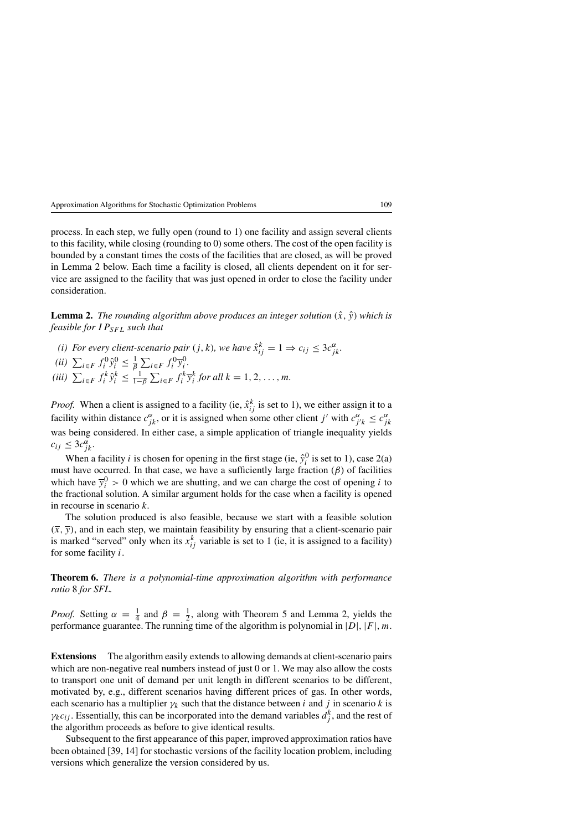process. In each step, we fully open (round to 1) one facility and assign several clients to this facility, while closing (rounding to 0) some others. The cost of the open facility is bounded by a constant times the costs of the facilities that are closed, as will be proved in Lemma 2 below. Each time a facility is closed, all clients dependent on it for service are assigned to the facility that was just opened in order to close the facility under consideration.

**Lemma 2.** *The rounding algorithm above produces an integer solution*  $(\hat{x}, \hat{y})$  *which is feasible for* I  $P_{SFL}$  *such that* 

- (*i*) For every client-scenario pair  $(j, k)$ , we have  $\hat{x}_{ij}^k = 1 \Rightarrow c_{ij} \leq 3c_{jk}^{\alpha}$ .
- (*ii*)  $\sum_{i \in F} f_i^0 \hat{y}_i^0 \leq \frac{1}{\beta} \sum_{i \in F} f_i^0 \overline{y}_i^0$ .

(*iii*)  $\sum_{i \in F} f_i^k \hat{y}_i^k \leq \frac{1}{1-\beta} \sum_{i \in F} f_i^k \overline{y}_i^k$  for all  $k = 1, 2, ..., m$ .

*Proof.* When a client is assigned to a facility (ie,  $\hat{x}_{ij}^k$  is set to 1), we either assign it to a facility within distance  $c_{jk}^{\alpha}$ , or it is assigned when some other client j' with  $c_{j'k}^{\alpha} \le c_{jk}^{\alpha}$ was being considered. In either case, a simple application of triangle inequality yields  $c_{ij} \leq 3c_{jk}^{\alpha}$ .

When a facility *i* is chosen for opening in the first stage (ie,  $\hat{y}_i^0$  is set to 1), case 2(a) must have occurred. In that case, we have a sufficiently large fraction  $(\beta)$  of facilities which have  $\bar{y}_i^0 > 0$  which we are shutting, and we can charge the cost of opening *i* to the fractional solution. A similar argument holds for the case when a facility is opened in recourse in scenario k.

The solution produced is also feasible, because we start with a feasible solution  $(\overline{x}, \overline{y})$ , and in each step, we maintain feasibility by ensuring that a client-scenario pair is marked "served" only when its  $x_{ij}^k$  variable is set to 1 (ie, it is assigned to a facility) for some facility i.

**Theorem 6.** *There is a polynomial-time approximation algorithm with performance ratio* 8 *for SFL.*

*Proof.* Setting  $\alpha = \frac{1}{4}$  and  $\beta = \frac{1}{2}$ , along with Theorem 5 and Lemma 2, yields the performance guarantee. The running time of the algorithm is polynomial in  $|D|$ ,  $|F|$ , m.

**Extensions** The algorithm easily extends to allowing demands at client-scenario pairs which are non-negative real numbers instead of just 0 or 1. We may also allow the costs to transport one unit of demand per unit length in different scenarios to be different, motivated by, e.g., different scenarios having different prices of gas. In other words, each scenario has a multiplier  $\gamma_k$  such that the distance between i and j in scenario k is  $\gamma_k c_{ij}$ . Essentially, this can be incorporated into the demand variables  $d_j^k$ , and the rest of the algorithm proceeds as before to give identical results.

Subsequent to the first appearance of this paper, improved approximation ratios have been obtained [39, 14] for stochastic versions of the facility location problem, including versions which generalize the version considered by us.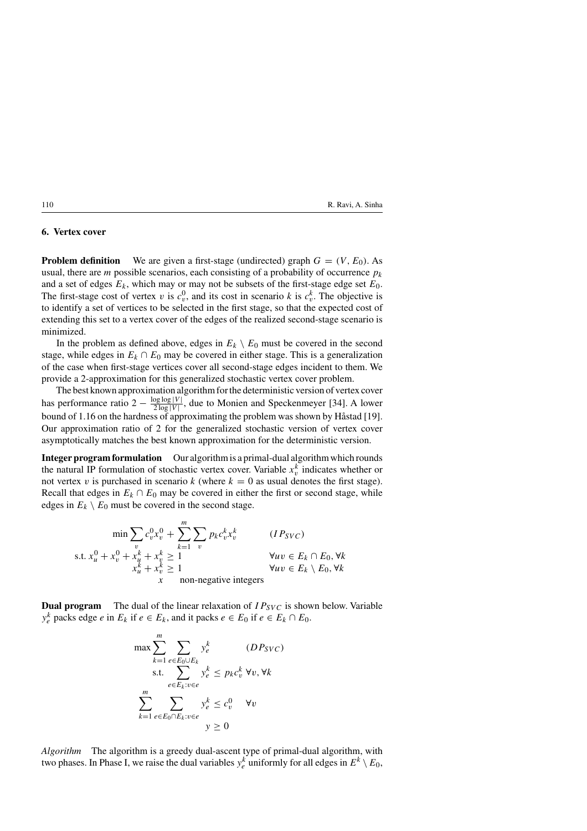## **6. Vertex cover**

**Problem definition** We are given a first-stage (undirected) graph  $G = (V, E_0)$ . As usual, there are *m* possible scenarios, each consisting of a probability of occurrence  $p_k$ and a set of edges  $E_k$ , which may or may not be subsets of the first-stage edge set  $E_0$ . The first-stage cost of vertex v is  $c_v^0$ , and its cost in scenario k is  $c_v^k$ . The objective is to identify a set of vertices to be selected in the first stage, so that the expected cost of extending this set to a vertex cover of the edges of the realized second-stage scenario is minimized.

In the problem as defined above, edges in  $E_k \setminus E_0$  must be covered in the second stage, while edges in  $E_k \cap E_0$  may be covered in either stage. This is a generalization of the case when first-stage vertices cover all second-stage edges incident to them. We provide a 2-approximation for this generalized stochastic vertex cover problem.

The best known approximation algorithm for the deterministic version of vertex cover has performance ratio  $2 - \frac{\log \log |V|}{2 \log |V|}$ , due to Monien and Speckenmeyer [34]. A lower bound of 1.16 on the hardness of approximating the problem was shown by Håstad [19]. Our approximation ratio of 2 for the generalized stochastic version of vertex cover asymptotically matches the best known approximation for the deterministic version.

**Integer program formulation** Our algorithm is a primal-dual algorithm which rounds the natural IP formulation of stochastic vertex cover. Variable  $x_v^k$  indicates whether or not vertex v is purchased in scenario k (where  $k = 0$  as usual denotes the first stage). Recall that edges in  $E_k \cap E_0$  may be covered in either the first or second stage, while edges in  $E_k \setminus E_0$  must be covered in the second stage.

$$
\min \sum_{v} c_v^0 x_v^0 + \sum_{k=1}^m \sum_{v} p_k c_v^k x_v^k
$$
 (IP<sub>SVC</sub>)  
s.t.  $x_u^0 + x_v^0 + x_u^k + x_v^k \ge 1$   
 $x_u^k + x_v^k \ge 1$   
 $x$  non-negative integers  
 $x$ 

**Dual program** The dual of the linear relaxation of  $IP_{SVC}$  is shown below. Variable  $y_e^k$  packs edge *e* in  $E_k$  if  $e \in E_k$ , and it packs  $e \in E_0$  if  $e \in E_k \cap E_0$ .

$$
\max \sum_{k=1}^{m} \sum_{e \in E_0 \cup E_k} y_e^k \qquad (DP_{SVC})
$$
  
s.t. 
$$
\sum_{e \in E_k: v \in e} y_e^k \le p_k c_v^k \forall v, \forall k
$$

$$
\sum_{k=1}^{m} \sum_{e \in E_0 \cap E_k: v \in e} y_e^k \le c_v^0 \forall v
$$

$$
y \ge 0
$$

*Algorithm* The algorithm is a greedy dual-ascent type of primal-dual algorithm, with two phases. In Phase I, we raise the dual variables  $y_e^k$  uniformly for all edges in  $E^k \setminus E_0$ ,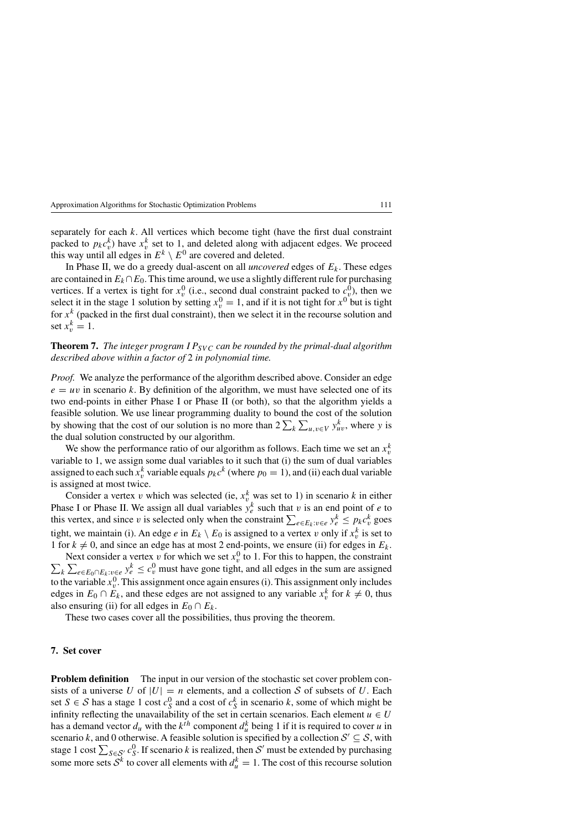separately for each  $k$ . All vertices which become tight (have the first dual constraint packed to  $p_k c_v^k$ ) have  $x_v^k$  set to 1, and deleted along with adjacent edges. We proceed this way until all edges in  $E^k \setminus E^0$  are covered and deleted.

In Phase II, we do a greedy dual-ascent on all *uncovered* edges of  $E_k$ . These edges are contained in  $E_k \cap E_0$ . This time around, we use a slightly different rule for purchasing vertices. If a vertex is tight for  $x_v^0$  (i.e., second dual constraint packed to  $c_v^0$ ), then we select it in the stage 1 solution by setting  $x_v^0 = 1$ , and if it is not tight for  $x_0^0$  but is tight for  $x^k$  (packed in the first dual constraint), then we select it in the recourse solution and set  $x_v^k = 1$ .

# **Theorem 7.** *The integer program I P<sub>SVC</sub> can be rounded by the primal-dual algorithm described above within a factor of* 2 *in polynomial time.*

*Proof.* We analyze the performance of the algorithm described above. Consider an edge  $e = uv$  in scenario k. By definition of the algorithm, we must have selected one of its two end-points in either Phase I or Phase II (or both), so that the algorithm yields a feasible solution. We use linear programming duality to bound the cost of the solution by showing that the cost of our solution is no more than  $2\sum_{k}\sum_{u,v\in V} y_{uv}^{k}$ , where y is the dual solution constructed by our algorithm.

We show the performance ratio of our algorithm as follows. Each time we set an  $x_v^k$ variable to 1, we assign some dual variables to it such that (i) the sum of dual variables assigned to each such  $x_v^k$  variable equals  $p_k c^k$  (where  $p_0 = 1$ ), and (ii) each dual variable is assigned at most twice.

Consider a vertex v which was selected (ie,  $x_v^k$  was set to 1) in scenario k in either Phase I or Phase II. We assign all dual variables  $y_e^k$  such that v is an end point of e to this vertex, and since v is selected only when the constraint  $\sum_{e \in E_k : v \in e} y_e^k \le p_k c_v^k$  goes tight, we maintain (i). An edge e in  $E_k \setminus E_0$  is assigned to a vertex v only if  $x_v^k$  is set to 1 for  $k \neq 0$ , and since an edge has at most 2 end-points, we ensure (ii) for edges in  $E_k$ .

Next consider a vertex v for which we set  $x_v^0$  to 1. For this to happen, the constraint  $\sum_k \sum_{e \in E_0 \cap E_k : v \in e} y_e^k \leq c_v^0$  must have gone tight, and all edges in the sum are assigned to the variable  $x_v^0$ . This assignment once again ensures (i). This assignment only includes edges in  $E_0 \cap E_k$ , and these edges are not assigned to any variable  $x_v^k$  for  $k \neq 0$ , thus also ensuring (ii) for all edges in  $E_0 \cap E_k$ .

These two cases cover all the possibilities, thus proving the theorem.

#### **7. Set cover**

**Problem definition** The input in our version of the stochastic set cover problem consists of a universe U of  $|U| = n$  elements, and a collection S of subsets of U. Each set  $S \in S$  has a stage 1 cost  $c_S^0$  and a cost of  $c_S^k$  in scenario k, some of which might be infinity reflecting the unavailability of the set in certain scenarios. Each element  $u \in U$ has a demand vector  $d_u$  with the  $k^{th}$  component  $d_u^k$  being 1 if it is required to cover u in scenario k, and 0 otherwise. A feasible solution is specified by a collection  $S' \subseteq S$ , with stage 1 cost  $\sum_{S \in S'} c_S^0$ . If scenario k is realized, then S' must be extended by purchasing some more sets  $S^k$  to cover all elements with  $d_u^k = 1$ . The cost of this recourse solution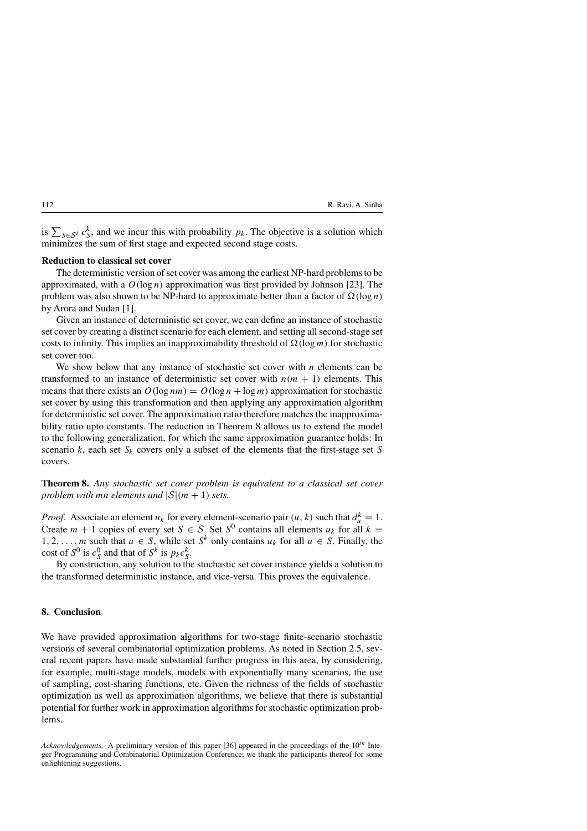is  $\sum_{S \in S^k} c_S^k$ , and we incur this with probability  $p_k$ . The objective is a solution which minimizes the sum of first stage and expected second stage costs.

## **Reduction to classical set cover**

The deterministic version of set cover was among the earliest NP-hard problems to be approximated, with a  $O(\log n)$  approximation was first provided by Johnson [23]. The problem was also shown to be NP-hard to approximate better than a factor of  $\Omega(\log n)$ by Arora and Sudan [1].

Given an instance of deterministic set cover, we can define an instance of stochastic set cover by creating a distinct scenario for each element, and setting all second-stage set costs to infinity. This implies an inapproximability threshold of  $\Omega(\log m)$  for stochastic set cover too.

We show below that any instance of stochastic set cover with  $n$  elements can be transformed to an instance of deterministic set cover with  $n(m + 1)$  elements. This means that there exists an  $O(log nm) = O(log n + log m)$  approximation for stochastic set cover by using this transformation and then applying any approximation algorithm for deterministic set cover. The approximation ratio therefore matches the inapproximability ratio upto constants. The reduction in Theorem 8 allows us to extend the model to the following generalization, for which the same approximation guarantee holds: In scenario k, each set  $S_k$  covers only a subset of the elements that the first-stage set S covers.

**Theorem 8.** *Any stochastic set cover problem is equivalent to a classical set cover problem with mn elements and*  $|S|(m + 1)$  *sets.* 

*Proof.* Associate an element  $u_k$  for every element-scenario pair  $(u, k)$  such that  $d_u^k = 1$ . Create  $m + 1$  copies of every set  $S \in S$ . Set  $S^0$  contains all elements  $u_k$  for all  $k =$ 1, 2,..., *m* such that  $u \in S$ , while set  $S^k$  only contains  $u_k$  for all  $u \in S$ . Finally, the cost of  $S^0$  is  $c_S^0$  and that of  $S^k$  is  $p_k c_S^k$ .

By construction, any solution to the stochastic set cover instance yields a solution to the transformed deterministic instance, and vice-versa. This proves the equivalence.

# **8. Conclusion**

We have provided approximation algorithms for two-stage finite-scenario stochastic versions of several combinatorial optimization problems. As noted in Section 2.5, several recent papers have made substantial further progress in this area, by considering, for example, multi-stage models, models with exponentially many scenarios, the use of sampling, cost-sharing functions, etc. Given the richness of the fields of stochastic optimization as well as approximation algorithms, we believe that there is substantial potential for further work in approximation algorithms for stochastic optimization problems.

*Acknowledgements.* A preliminary version of this paper [36] appeared in the proceedings of the  $10^{th}$  Integer Programming and Combinatorial Optimization Conference; we thank the participants thereof for some enlightening suggestions.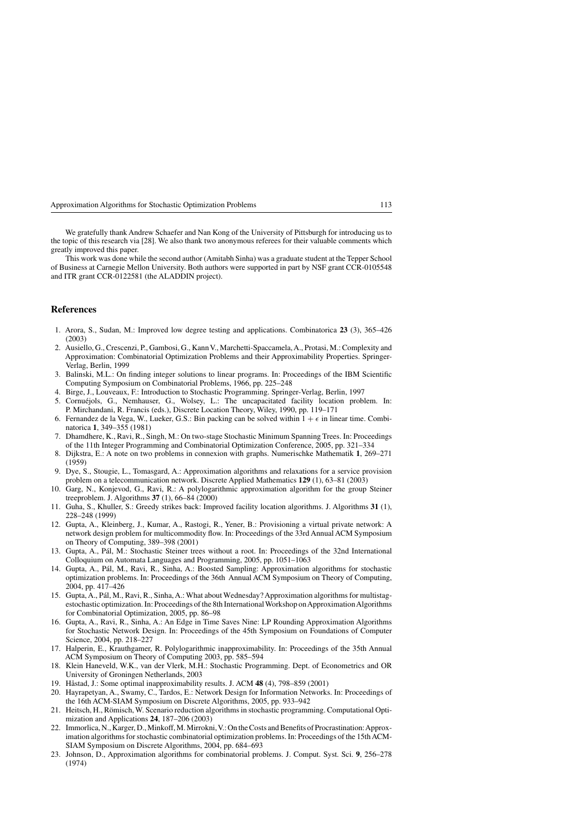We gratefully thank Andrew Schaefer and Nan Kong of the University of Pittsburgh for introducing us to the topic of this research via [28]. We also thank two anonymous referees for their valuable comments which greatly improved this paper.

This work was done while the second author (Amitabh Sinha) was a graduate student at the Tepper School of Business at Carnegie Mellon University. Both authors were supported in part by NSF grant CCR-0105548 and ITR grant CCR-0122581 (the ALADDIN project).

# **References**

- 1. Arora, S., Sudan, M.: Improved low degree testing and applications. Combinatorica **23** (3), 365–426 (2003)
- 2. Ausiello, G., Crescenzi, P., Gambosi, G., KannV., Marchetti-Spaccamela,A., Protasi, M.: Complexity and Approximation: Combinatorial Optimization Problems and their Approximability Properties. Springer-Verlag, Berlin, 1999
- 3. Balinski, M.L.: On finding integer solutions to linear programs. In: Proceedings of the IBM Scientific Computing Symposium on Combinatorial Problems, 1966, pp. 225–248
- 4. Birge, J., Louveaux, F.: Introduction to Stochastic Programming. Springer-Verlag, Berlin, 1997
- 5. Cornuéjols, G., Nemhauser, G., Wolsey, L.: The uncapacitated facility location problem. In: P. Mirchandani, R. Francis (eds.), Discrete Location Theory, Wiley, 1990, pp. 119–171
- 6. Fernandez de la Vega, W., Lueker, G.S.: Bin packing can be solved within  $1 + \epsilon$  in linear time. Combinatorica **1**, 349–355 (1981)
- 7. Dhamdhere, K., Ravi, R., Singh, M.: On two-stage Stochastic Minimum Spanning Trees. In: Proceedings of the 11th Integer Programming and Combinatorial Optimization Conference, 2005, pp. 321–334
- 8. Dijkstra, E.: A note on two problems in connexion with graphs. Numerischke Mathematik **1**, 269–271 (1959)
- 9. Dye, S., Stougie, L., Tomasgard, A.: Approximation algorithms and relaxations for a service provision problem on a telecommunication network. Discrete Applied Mathematics **129** (1), 63–81 (2003)
- 10. Garg, N., Konjevod, G., Ravi, R.: A polylogarithmic approximation algorithm for the group Steiner treeproblem. J. Algorithms **37** (1), 66–84 (2000)
- 11. Guha, S., Khuller, S.: Greedy strikes back: Improved facility location algorithms. J. Algorithms **31** (1), 228–248 (1999)
- 12. Gupta, A., Kleinberg, J., Kumar, A., Rastogi, R., Yener, B.: Provisioning a virtual private network: A network design problem for multicommodity flow. In: Proceedings of the 33rd Annual ACM Symposium on Theory of Computing, 389–398 (2001)
- 13. Gupta, A., Pál, M.: Stochastic Steiner trees without a root. In: Proceedings of the 32nd International Colloquium on Automata Languages and Programming, 2005, pp. 1051–1063
- 14. Gupta, A., Pál, M., Ravi, R., Sinha, A.: Boosted Sampling: Approximation algorithms for stochastic optimization problems. In: Proceedings of the 36th Annual ACM Symposium on Theory of Computing, 2004, pp. 417–426
- 15. Gupta, A., Pál, M., Ravi, R., Sinha, A.: What about Wednesday? Approximation algorithms for multistagestochastic optimization. In: Proceedings of the 8th International Workshop on Approximation Algorithms for Combinatorial Optimization, 2005, pp. 86–98
- 16. Gupta, A., Ravi, R., Sinha, A.: An Edge in Time Saves Nine: LP Rounding Approximation Algorithms for Stochastic Network Design. In: Proceedings of the 45th Symposium on Foundations of Computer Science, 2004, pp. 218–227
- 17. Halperin, E., Krauthgamer, R. Polylogarithmic inapproximability. In: Proceedings of the 35th Annual ACM Symposium on Theory of Computing 2003, pp. 585–594
- 18. Klein Haneveld, W.K., van der Vlerk, M.H.: Stochastic Programming. Dept. of Econometrics and OR University of Groningen Netherlands, 2003
- 19. Håstad, J.: Some optimal inapproximability results. J. ACM **48** (4), 798–859 (2001)
- 20. Hayrapetyan, A., Swamy, C., Tardos, E.: Network Design for Information Networks. In: Proceedings of the 16th ACM-SIAM Symposium on Discrete Algorithms, 2005, pp. 933–942
- 21. Heitsch, H., Römisch, W. Scenario reduction algorithms in stochastic programming. Computational Optimization and Applications **24**, 187–206 (2003)
- 22. Immorlica, N., Karger, D., Minkoff, M. Mirrokni, V.: On the Costs and Benefits of Procrastination: Approximation algorithms for stochastic combinatorial optimization problems. In: Proceedings of the 15thACM-SIAM Symposium on Discrete Algorithms, 2004, pp. 684–693
- 23. Johnson, D., Approximation algorithms for combinatorial problems. J. Comput. Syst. Sci. **9**, 256–278 (1974)